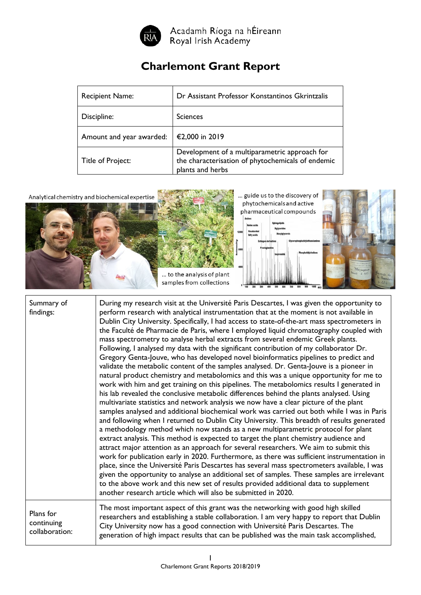

Acadamh Ríoga na hÉireann<br>Royal Irish Academy

## **Charlemont Grant Report**

| <b>Recipient Name:</b>   | Dr Assistant Professor Konstantinos Gkrintzalis                                                                        |
|--------------------------|------------------------------------------------------------------------------------------------------------------------|
| Discipline:              | <b>Sciences</b>                                                                                                        |
| Amount and year awarded: | €2,000 in 2019                                                                                                         |
| Title of Project:        | Development of a multiparametric approach for<br>the characterisation of phytochemicals of endemic<br>plants and herbs |



| Summary of<br>findings:                   | During my research visit at the Université Paris Descartes, I was given the opportunity to<br>perform research with analytical instrumentation that at the moment is not available in<br>Dublin City University. Specifically, I had access to state-of-the-art mass spectrometers in<br>the Faculté de Pharmacie de Paris, where I employed liquid chromatography coupled with<br>mass spectrometry to analyse herbal extracts from several endemic Greek plants.<br>Following, I analysed my data with the significant contribution of my collaborator Dr.<br>Gregory Genta-Jouve, who has developed novel bioinformatics pipelines to predict and<br>validate the metabolic content of the samples analysed. Dr. Genta-Jouve is a pioneer in<br>natural product chemistry and metabolomics and this was a unique opportunity for me to<br>work with him and get training on this pipelines. The metabolomics results I generated in<br>his lab revealed the conclusive metabolic differences behind the plants analysed. Using<br>multivariate statistics and network analysis we now have a clear picture of the plant<br>samples analysed and additional biochemical work was carried out both while I was in Paris<br>and following when I returned to Dublin City University. This breadth of results generated<br>a methodology method which now stands as a new multiparametric protocol for plant<br>extract analysis. This method is expected to target the plant chemistry audience and<br>attract major attention as an approach for several researchers. We aim to submit this<br>work for publication early in 2020. Furthermore, as there was sufficient instrumentation in<br>place, since the Université Paris Descartes has several mass spectrometers available, I was<br>given the opportunity to analyse an additional set of samples. These samples are irrelevant<br>to the above work and this new set of results provided additional data to supplement<br>another research article which will also be submitted in 2020. |
|-------------------------------------------|-----------------------------------------------------------------------------------------------------------------------------------------------------------------------------------------------------------------------------------------------------------------------------------------------------------------------------------------------------------------------------------------------------------------------------------------------------------------------------------------------------------------------------------------------------------------------------------------------------------------------------------------------------------------------------------------------------------------------------------------------------------------------------------------------------------------------------------------------------------------------------------------------------------------------------------------------------------------------------------------------------------------------------------------------------------------------------------------------------------------------------------------------------------------------------------------------------------------------------------------------------------------------------------------------------------------------------------------------------------------------------------------------------------------------------------------------------------------------------------------------------------------------------------------------------------------------------------------------------------------------------------------------------------------------------------------------------------------------------------------------------------------------------------------------------------------------------------------------------------------------------------------------------------------------------------------------------------------------------------------------------------------------------------------------------|
| Plans for<br>continuing<br>collaboration: | The most important aspect of this grant was the networking with good high skilled<br>researchers and establishing a stable collaboration. I am very happy to report that Dublin<br>City University now has a good connection with Université Paris Descartes. The<br>generation of high impact results that can be published was the main task accomplished,                                                                                                                                                                                                                                                                                                                                                                                                                                                                                                                                                                                                                                                                                                                                                                                                                                                                                                                                                                                                                                                                                                                                                                                                                                                                                                                                                                                                                                                                                                                                                                                                                                                                                        |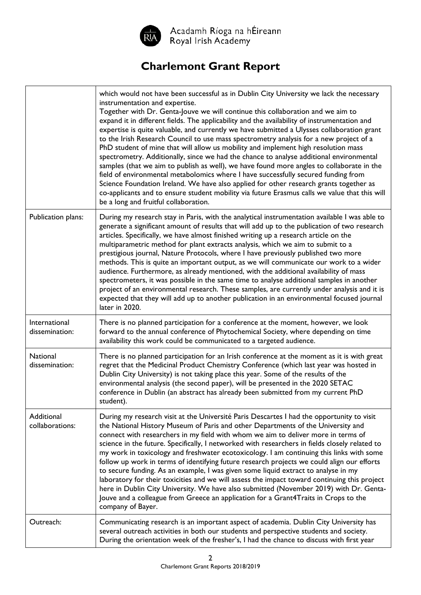

Acadamh Ríoga na hÉireann<br>Royal Irish Academy

## **Charlemont Grant Report**

|                                 | which would not have been successful as in Dublin City University we lack the necessary<br>instrumentation and expertise.<br>Together with Dr. Genta-Jouve we will continue this collaboration and we aim to<br>expand it in different fields. The applicability and the availability of instrumentation and<br>expertise is quite valuable, and currently we have submitted a Ulysses collaboration grant<br>to the Irish Research Council to use mass spectrometry analysis for a new project of a<br>PhD student of mine that will allow us mobility and implement high resolution mass<br>spectrometry. Additionally, since we had the chance to analyse additional environmental<br>samples (that we aim to publish as well), we have found more angles to collaborate in the<br>field of environmental metabolomics where I have successfully secured funding from<br>Science Foundation Ireland. We have also applied for other research grants together as<br>co-applicants and to ensure student mobility via future Erasmus calls we value that this will<br>be a long and fruitful collaboration. |
|---------------------------------|--------------------------------------------------------------------------------------------------------------------------------------------------------------------------------------------------------------------------------------------------------------------------------------------------------------------------------------------------------------------------------------------------------------------------------------------------------------------------------------------------------------------------------------------------------------------------------------------------------------------------------------------------------------------------------------------------------------------------------------------------------------------------------------------------------------------------------------------------------------------------------------------------------------------------------------------------------------------------------------------------------------------------------------------------------------------------------------------------------------|
| Publication plans:              | During my research stay in Paris, with the analytical instrumentation available I was able to<br>generate a significant amount of results that will add up to the publication of two research<br>articles. Specifically, we have almost finished writing up a research article on the<br>multiparametric method for plant extracts analysis, which we aim to submit to a<br>prestigious journal, Nature Protocols, where I have previously published two more<br>methods. This is quite an important output, as we will communicate our work to a wider<br>audience. Furthermore, as already mentioned, with the additional availability of mass<br>spectrometers, it was possible in the same time to analyse additional samples in another<br>project of an environmental research. These samples, are currently under analysis and it is<br>expected that they will add up to another publication in an environmental focused journal<br>later in 2020.                                                                                                                                                   |
| International<br>dissemination: | There is no planned participation for a conference at the moment, however, we look<br>forward to the annual conference of Phytochemical Society, where depending on time<br>availability this work could be communicated to a targeted audience.                                                                                                                                                                                                                                                                                                                                                                                                                                                                                                                                                                                                                                                                                                                                                                                                                                                             |
| National<br>dissemination:      | There is no planned participation for an Irish conference at the moment as it is with great<br>regret that the Medicinal Product Chemistry Conference (which last year was hosted in<br>Dublin City University) is not taking place this year. Some of the results of the<br>environmental analysis (the second paper), will be presented in the 2020 SETAC<br>conference in Dublin (an abstract has already been submitted from my current PhD<br>student).                                                                                                                                                                                                                                                                                                                                                                                                                                                                                                                                                                                                                                                 |
| Additional<br>collaborations:   | During my research visit at the Université Paris Descartes I had the opportunity to visit<br>the National History Museum of Paris and other Departments of the University and<br>connect with researchers in my field with whom we aim to deliver more in terms of<br>science in the future. Specifically, I networked with researchers in fields closely related to<br>my work in toxicology and freshwater ecotoxicology. I am continuing this links with some<br>follow up work in terms of identifying future research projects we could align our efforts<br>to secure funding. As an example, I was given some liquid extract to analyse in my<br>laboratory for their toxicities and we will assess the impact toward continuing this project<br>here in Dublin City University. We have also submitted (November 2019) with Dr. Genta-<br>Jouve and a colleague from Greece an application for a Grant4Traits in Crops to the<br>company of Bayer.                                                                                                                                                   |
| Outreach:                       | Communicating research is an important aspect of academia. Dublin City University has<br>several outreach activities in both our students and perspective students and society.<br>During the orientation week of the fresher's, I had the chance to discuss with first year                                                                                                                                                                                                                                                                                                                                                                                                                                                                                                                                                                                                                                                                                                                                                                                                                                 |